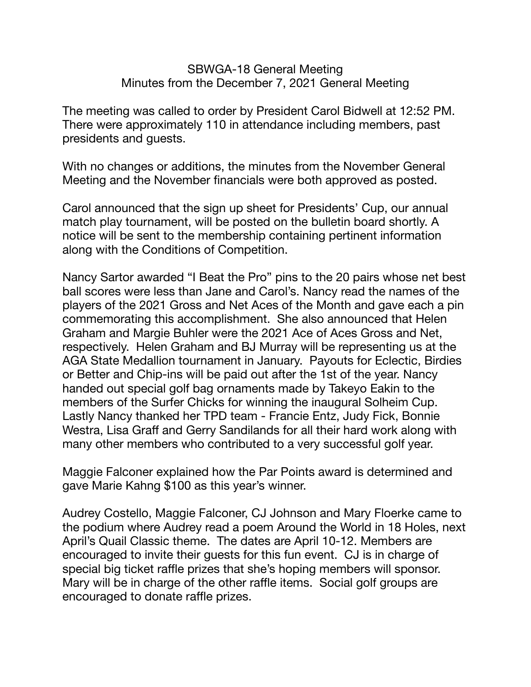## SBWGA-18 General Meeting Minutes from the December 7, 2021 General Meeting

The meeting was called to order by President Carol Bidwell at 12:52 PM. There were approximately 110 in attendance including members, past presidents and guests.

With no changes or additions, the minutes from the November General Meeting and the November financials were both approved as posted.

Carol announced that the sign up sheet for Presidents' Cup, our annual match play tournament, will be posted on the bulletin board shortly. A notice will be sent to the membership containing pertinent information along with the Conditions of Competition.

Nancy Sartor awarded "I Beat the Pro" pins to the 20 pairs whose net best ball scores were less than Jane and Carol's. Nancy read the names of the players of the 2021 Gross and Net Aces of the Month and gave each a pin commemorating this accomplishment. She also announced that Helen Graham and Margie Buhler were the 2021 Ace of Aces Gross and Net, respectively. Helen Graham and BJ Murray will be representing us at the AGA State Medallion tournament in January. Payouts for Eclectic, Birdies or Better and Chip-ins will be paid out after the 1st of the year. Nancy handed out special golf bag ornaments made by Takeyo Eakin to the members of the Surfer Chicks for winning the inaugural Solheim Cup. Lastly Nancy thanked her TPD team - Francie Entz, Judy Fick, Bonnie Westra, Lisa Graff and Gerry Sandilands for all their hard work along with many other members who contributed to a very successful golf year.

Maggie Falconer explained how the Par Points award is determined and gave Marie Kahng \$100 as this year's winner.

Audrey Costello, Maggie Falconer, CJ Johnson and Mary Floerke came to the podium where Audrey read a poem Around the World in 18 Holes, next April's Quail Classic theme. The dates are April 10-12. Members are encouraged to invite their guests for this fun event. CJ is in charge of special big ticket raffle prizes that she's hoping members will sponsor. Mary will be in charge of the other raffle items. Social golf groups are encouraged to donate raffle prizes.